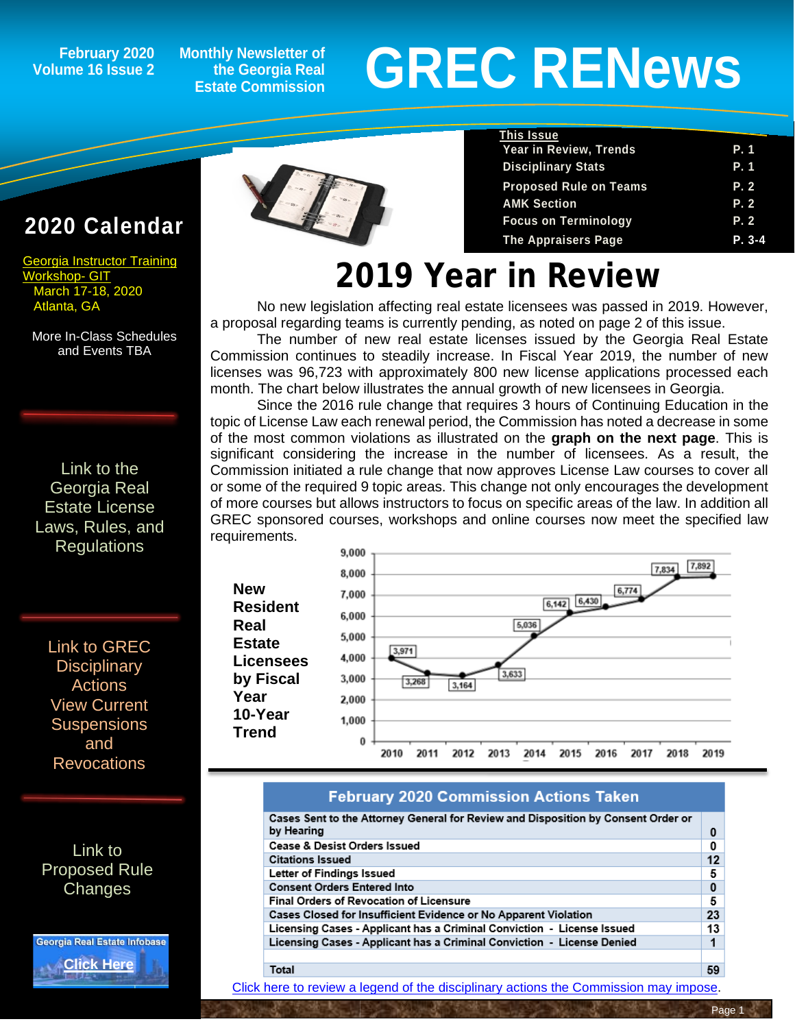### **Volume 16 Issue 2**

**Monthly Newsletter of the Georgia Real Estate Commission**

# February 2020 Monthly Newsletter of<br>Ime 16 Issue 2 the Georgia Real **GREC RENEWS**

**Proposed Rule on Teams** 

**Year in Review, Trends P. 1**

**Disciplinary Stats P. 1** 

**AMK Section P. 2 Focus on Terminology P. 2 The Appraisers Page P. 3-4**

**This Issue**

### **2020 C[alendar](http://www.grec-git.com/Instructor-Training/Current-GIT-Class-Schedule)**

[Georgia Instructor Training](http://www.grec-git.com/Instructor-Training/Current-GIT-Class-Schedule)  [Workshop-](http://www.grec-git.com/Instructor-Training/Current-GIT-Class-Schedule) GIT March 17-18, 2020 Atlanta, GA

More In-Class Schedules and Events TBA

[Link to the](http://www.grec.state.ga.us/about/relaw.html)  [Georgia Real](http://www.grec.state.ga.us/about/relaw.html)  [Estate License](http://www.grec.state.ga.us/about/relaw.html)  [Laws, Rules, and](http://www.grec.state.ga.us/about/relaw.html)  **[Regulations](http://www.grec.state.ga.us/about/relaw.html)** 

[Link to GREC](http://www.grec.state.ga.us/about/resanctions.html)  **Disciplinary** [Actions](http://www.grec.state.ga.us/about/resanctions.html) View Current **Suspensions** and Revocations

[Link to](http://www.grec.state.ga.us/about/reproposed.html)  [Proposed Rule](http://www.grec.state.ga.us/about/reproposed.html)  **[Changes](http://www.grec.state.ga.us/about/reproposed.html)** 

Georgia Real Estate Infobase **[Click Here](https://www.grec.state.ga.us/infobase/infobase.html)**



## **2019 Year in Review**

No new legislation affecting real estate licensees was passed in 2019. However, a proposal regarding teams is currently pending, as noted on page 2 of this issue.

The number of new real estate licenses issued by the Georgia Real Estate Commission continues to steadily increase. In Fiscal Year 2019, the number of new licenses was 96,723 with approximately 800 new license applications processed each month. The chart below illustrates the annual growth of new licensees in Georgia.

Since the 2016 rule change that requires 3 hours of Continuing Education in the topic of License Law each renewal period, the Commission has noted a decrease in some of the most common violations as illustrated on the **graph on the next page**. This is significant considering the increase in the number of licensees. As a result, the Commission initiated a rule change that now approves License Law courses to cover all or some of the required 9 topic areas. This change not only encourages the development of more courses but allows instructors to focus on specific areas of the law. In addition all GREC sponsored courses, workshops and online courses now meet the specified law requirements.



#### **February 2020 Commission Actions Taken**

| Cases Sent to the Attorney General for Review and Disposition by Consent Order or |    |
|-----------------------------------------------------------------------------------|----|
| by Hearing                                                                        | 0  |
| <b>Cease &amp; Desist Orders Issued</b>                                           | 0  |
| <b>Citations Issued</b>                                                           | 12 |
| Letter of Findings Issued                                                         | 5  |
| <b>Consent Orders Entered Into</b>                                                | 0  |
| <b>Final Orders of Revocation of Licensure</b>                                    | 5  |
| Cases Closed for Insufficient Evidence or No Apparent Violation                   | 23 |
| Licensing Cases - Applicant has a Criminal Conviction - License Issued            | 13 |
| Licensing Cases - Applicant has a Criminal Conviction - License Denied            |    |
|                                                                                   |    |
| Total                                                                             | 59 |

[Click here to review a legend of the disciplinary actions the Commission may impose.](https://www.jmre.com/grec/GRECDisciplinaryTools.pdf)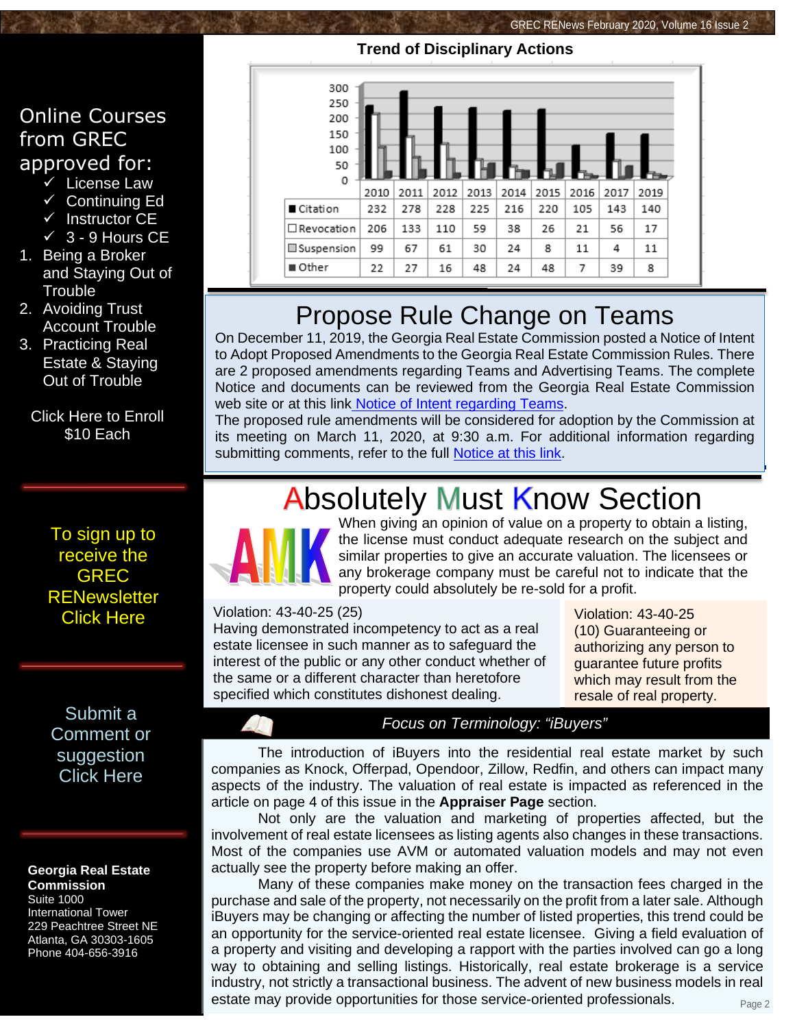## **Trend of Disciplinary Actions**



- $\overline{\smile}$  License Law
- $\checkmark$  [Continuing Ed](https://www.jmre.com/enroll12.ASP?schoolid=19)
- $\checkmark$  [Instructor CE](https://www.jmre.com/enroll12.ASP?schoolid=19)
- $\times$  3 [9 Hours CE](https://www.jmre.com/enroll12.ASP?schoolid=19)
- 1. [Being a Broker](https://www.jmre.com/enroll12.ASP?schoolid=19)  [and Staying Out of](https://www.jmre.com/enroll12.ASP?schoolid=19)  **[Trouble](https://www.jmre.com/enroll12.ASP?schoolid=19)**
- 2. [Avoiding Trust](https://www.jmre.com/enroll12.ASP?schoolid=19)  [Account Trouble](https://www.jmre.com/enroll12.ASP?schoolid=19)
- 3. [Practicing Real](https://www.jmre.com/enroll12.ASP?schoolid=19)  [Estate & Staying](https://www.jmre.com/enroll12.ASP?schoolid=19)  [Out of Trouble](https://www.jmre.com/enroll12.ASP?schoolid=19)

[Click Here to Enroll](https://www.jmre.com/enroll12.ASP?schoolid=19) [\\$10 Each](https://www.jmre.com/enroll12.ASP?schoolid=19)

> To sign up to receive the GREC **RENewsletter** [Click Here](https://www.grec.state.ga.us/about/subscribe.html)

[Submit a](http://www.jmre.com/grecrenewscomments2014.htm)  [Comment or](http://www.jmre.com/grecrenewscomments2014.htm)  [suggestion](http://www.jmre.com/grecrenewscomments2014.htm)  [Click Here](http://www.jmre.com/grecrenewscomments2014.htm)

#### **Georgia Real Estate Commission** Suite 1000

International Tower 229 Peachtree Street NE Atlanta, GA 30303-1605 Phone 404-656-3916



### Propose Rule Change on Teams

On December 11, 2019, the Georgia Real Estate Commission posted a Notice of Intent to Adopt Proposed Amendments to the Georgia Real Estate Commission Rules. There are 2 proposed amendments regarding Teams and Advertising Teams. The complete Notice and documents can be reviewed from the Georgia Real Estate Commission web site or at this link [Notice of Intent regarding Teams.](http://grec.state.ga.us/PDFS/About/NOTICE%20OF%20INTENT%20-%20Teams%20%20520-1-.02%20Definitions%20and%20520-1-.09%20Advertising%20%20%20for%20GREC%20website%20%2012%2011%2019.pdf)

The proposed rule amendments will be considered for adoption by the Commission at its meeting on March 11, 2020, at 9:30 a.m. For additional information regarding submitting comments, refer to the full **Notice at this link**.

## **Absolutely Must Know Section**



When giving an opinion of value on a property to obtain a listing, the license must conduct adequate research on the subject and similar properties to give an accurate valuation. The licensees or any brokerage company must be careful not to indicate that the property could absolutely be re-sold for a profit.

Violation: 43-40-25 (25)

Having demonstrated incompetency to act as a real estate licensee in such manner as to safeguard the interest of the public or any other conduct whether of the same or a different character than heretofore specified which constitutes dishonest dealing.

Violation: 43-40-25 (10) Guaranteeing or authorizing any person to guarantee future profits [which may result from the](http://grec.state.ga.us/about/relaw.html)  resale of real property.

### *Focus on Terminology: "iBuyers"*

The introduction of iBuyers into the residential real estate market by such companies as Knock, Offerpad, Opendoor, Zillow, Redfin, and others can impact many aspects of the industry. The valuation of real estate is impacted as referenced in the article on page 4 of this issue in the **Appraiser Page** section.

Not only are the valuation and marketing of properties affected, but the involvement of real estate licensees as listing agents also changes in these transactions. Most of the companies use AVM or automated valuation models and may not even actually see the property before making an offer.

Page 2 Many of these companies make money on the transaction fees charged in the purchase and sale of the property, not necessarily on the profit from a later sale. Although iBuyers may be changing or affecting the number of listed properties, this trend could be an opportunity for the service-oriented real estate licensee. Giving a field evaluation of a property and visiting and developing a rapport with the parties involved can go a long way to obtaining and selling listings. Historically, real estate brokerage is a service industry, not strictly a transactional business. The advent of new business models in real estate may provide opportunities for those service-oriented professionals.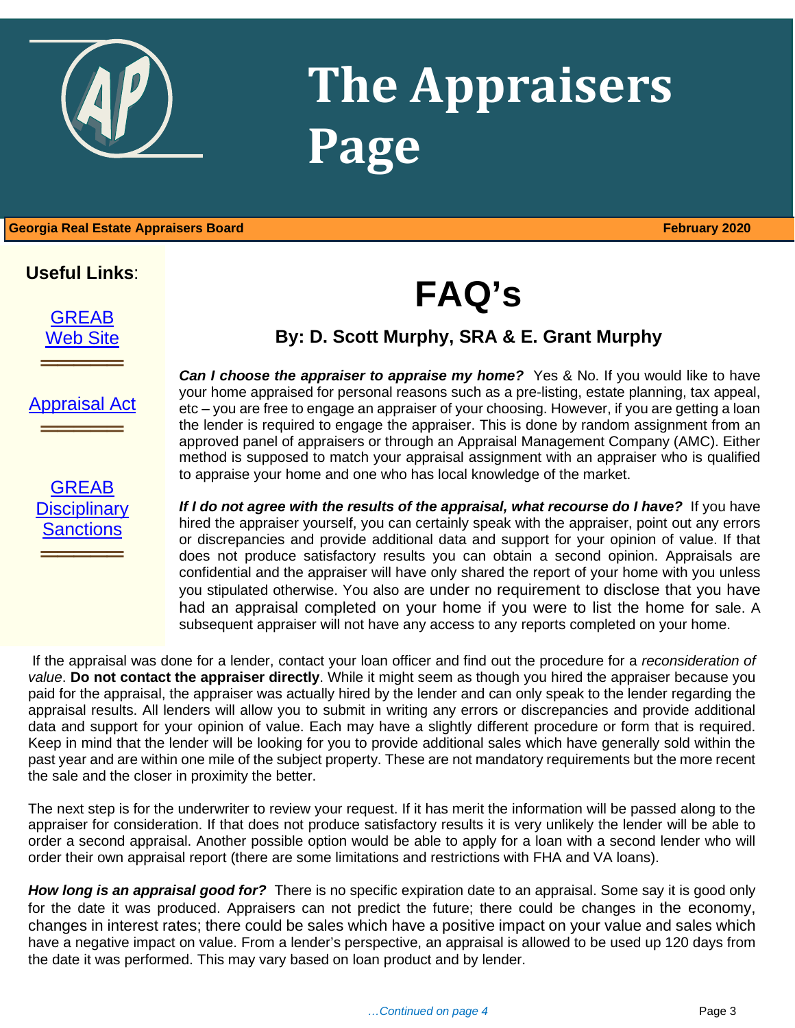

## **The Appraisers Page**

1 **Georgia Real Estate Appraisers Board February 2020**

### **Useful Links**:

[GREAB](http://www.grec.state.ga.us/about/greab.html) [Web Site](http://www.grec.state.ga.us/about/greab.html)

**════════════**<br>════════════════════

**FAQ's**

### **By: D. Scott Murphy, SRA & E. Grant Murphy**

[Appraisal Act](http://www.grec.state.ga.us/about/appraisersact.html)

**════════════**<br>════════════════════

**GREAB Disciplinary [Sanctions](http://www.grec.state.ga.us/about/apprsanctions.html)** 

**════════════**<br>════════════════════

**Can I choose the appraiser to appraise my home?** Yes & No. If you would like to have your home appraised for personal reasons such as a pre-listing, estate planning, tax appeal, etc – you are free to engage an appraiser of your choosing. However, if you are getting a loan the lender is required to engage the appraiser. This is done by random assignment from an approved panel of appraisers or through an Appraisal Management Company (AMC). Either method is supposed to match your appraisal assignment with an appraiser who is qualified to appraise your home and one who has local knowledge of the market.

If I do not agree with the results of the appraisal, what recourse do I have? If you have hired the appraiser yourself, you can certainly speak with the appraiser, point out any errors or discrepancies and provide additional data and support for your opinion of value. If that does not produce satisfactory results you can obtain a second opinion. Appraisals are confidential and the appraiser will have only shared the report of your home with you unless you stipulated otherwise. You also are under no requirement to disclose that you have had an appraisal completed on your home if you were to list the home for sale. A subsequent appraiser will not have any access to any reports completed on your home.

If the appraisal was done for a lender, contact your loan officer and find out the procedure for a *reconsideration of value*. **Do not contact the appraiser directly**. While it might seem as though you hired the appraiser because you paid for the appraisal, the appraiser was actually hired by the lender and can only speak to the lender regarding the appraisal results. All lenders will allow you to submit in writing any errors or discrepancies and provide additional data and support for your opinion of value. Each may have a slightly different procedure or form that is required. Keep in mind that the lender will be looking for you to provide additional sales which have generally sold within the past year and are within one mile of the subject property. These are not mandatory requirements but the more recent the sale and the closer in proximity the better.

The next step is for the underwriter to review your request. If it has merit the information will be passed along to the appraiser for consideration. If that does not produce satisfactory results it is very unlikely the lender will be able to order a second appraisal. Another possible option would be able to apply for a loan with a second lender who will order their own appraisal report (there are some limitations and restrictions with FHA and VA loans).

*How long is an appraisal good for?* There is no specific expiration date to an appraisal. Some say it is good only for the date it was produced. Appraisers can not predict the future; there could be changes in the economy, changes in interest rates; there could be sales which have a positive impact on your value and sales which have a negative impact on value. From a lender's perspective, an appraisal is allowed to be used up 120 days from the date it was performed. This may vary based on loan product and by lender.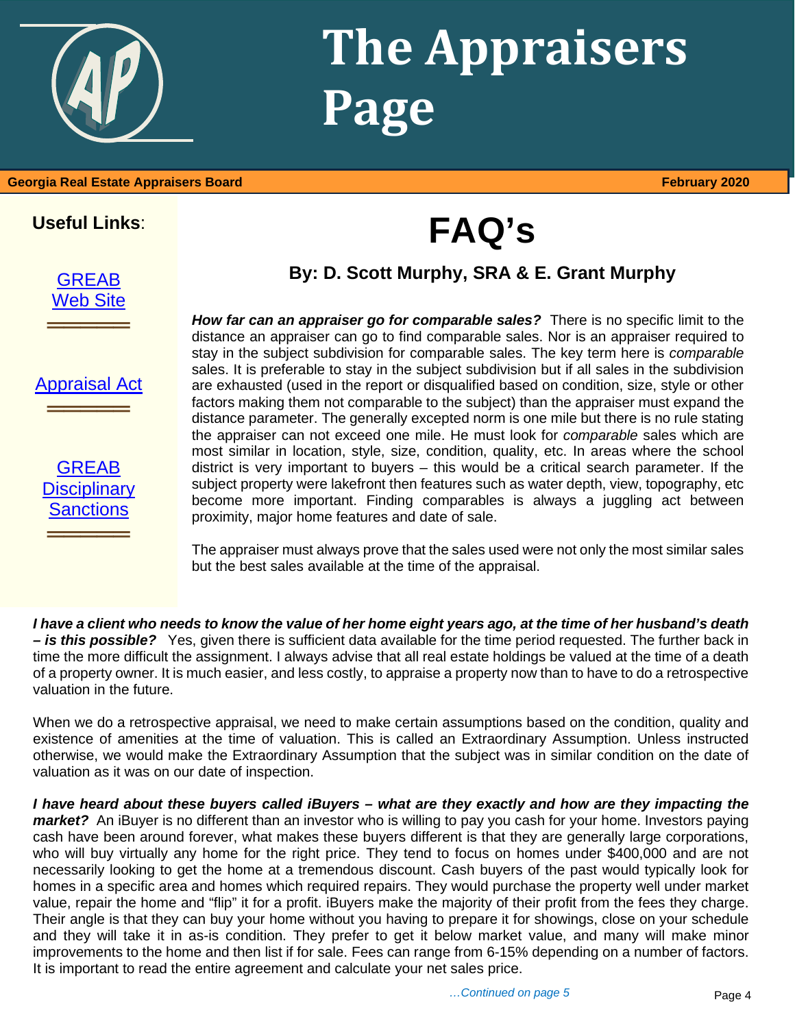## **The Appraisers Page**

#### **Georgia Real Estate Appraisers Board February 2020**

**Useful Links**:

**[GREAB](http://www.grec.state.ga.us/about/greab.html) [Web Site](http://www.grec.state.ga.us/about/greab.html)** 

**═══════════**<br>═══════════════════

**FAQ's**

### **By: D. Scott Murphy, SRA & E. Grant Murphy**

[Appraisal Act](http://www.grec.state.ga.us/about/appraisersact.html)

**═══════════**<br>═══════════════════



*How far can an appraiser go for comparable sales?* There is no specific limit to the distance an appraiser can go to find comparable sales. Nor is an appraiser required to stay in the subject subdivision for comparable sales. The key term here is *comparable*  sales. It is preferable to stay in the subject subdivision but if all sales in the subdivision are exhausted (used in the report or disqualified based on condition, size, style or other factors making them not comparable to the subject) than the appraiser must expand the distance parameter. The generally excepted norm is one mile but there is no rule stating the appraiser can not exceed one mile. He must look for *comparable* sales which are most similar in location, style, size, condition, quality, etc. In areas where the school district is very important to buyers – this would be a critical search parameter. If the subject property were lakefront then features such as water depth, view, topography, etc become more important. Finding comparables is always a juggling act between proximity, major home features and date of sale.

The appraiser must always prove that the sales used were not only the most similar sales but the best sales available at the time of the appraisal.

*I have a client who needs to know the value of her home eight years ago, at the time of her husband's death – is this possible?*Yes, given there is sufficient data available for the time period requested. The further back in time the more difficult the assignment. I always advise that all real estate holdings be valued at the time of a death of a property owner. It is much easier, and less costly, to appraise a property now than to have to do a retrospective valuation in the future.

When we do a retrospective appraisal, we need to make certain assumptions based on the condition, quality and existence of amenities at the time of valuation. This is called an Extraordinary Assumption. Unless instructed otherwise, we would make the Extraordinary Assumption that the subject was in similar condition on the date of valuation as it was on our date of inspection.

*I have heard about these buyers called iBuyers – what are they exactly and how are they impacting the market?* An iBuyer is no different than an investor who is willing to pay you cash for your home. Investors paying cash have been around forever, what makes these buyers different is that they are generally large corporations, who will buy virtually any home for the right price. They tend to focus on homes under \$400,000 and are not necessarily looking to get the home at a tremendous discount. Cash buyers of the past would typically look for homes in a specific area and homes which required repairs. They would purchase the property well under market value, repair the home and "flip" it for a profit. iBuyers make the majority of their profit from the fees they charge. Their angle is that they can buy your home without you having to prepare it for showings, close on your schedule and they will take it in as-is condition. They prefer to get it below market value, and many will make minor improvements to the home and then list if for sale. Fees can range from 6-15% depending on a number of factors. It is important to read the entire agreement and calculate your net sales price.